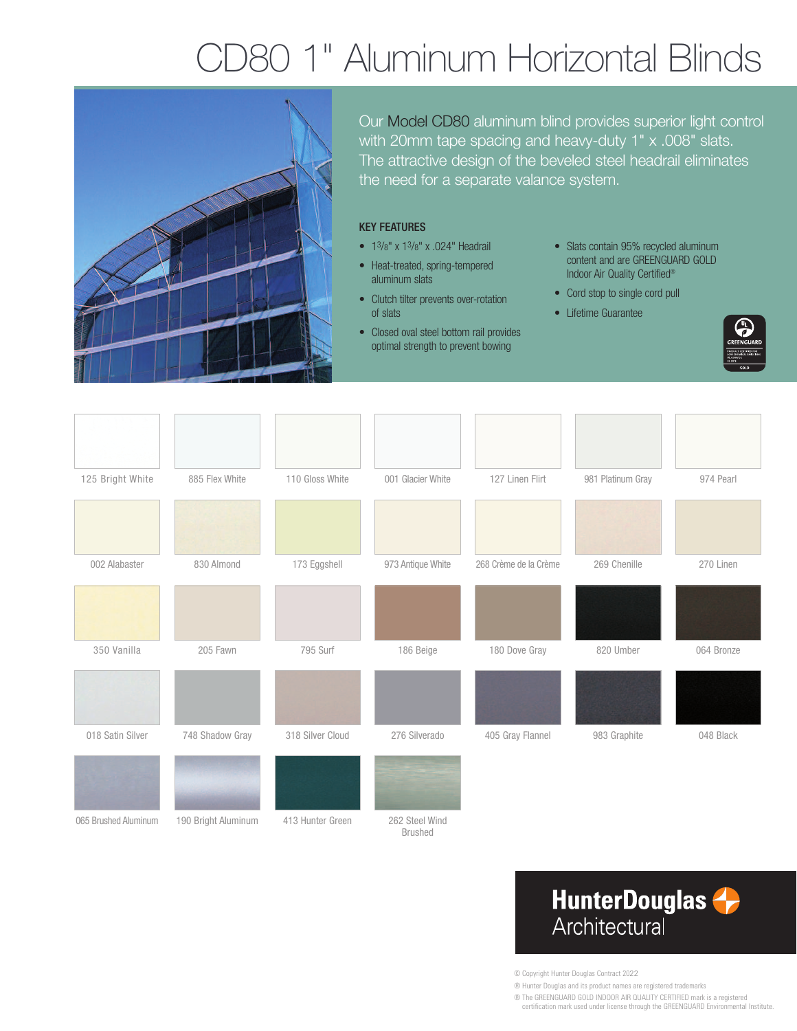# D80 1" Aluminum Horizontal Blinds



Our Model CD80 aluminum blind provides superior light control with 20mm tape spacing and heavy-duty 1" x .008" slats. The attractive design of the beveled steel headrail eliminates the need for a separate valance system.

#### KEY FEATURES

- 13/8" x 13/8" x .024" Headrail
- Heat-treated, spring-tempered aluminum slats
- Clutch tilter prevents over-rotation of slats
- Closed oval steel bottom rail provides optimal strength to prevent bowing
- Slats contain 95% recycled aluminum content and are GREENGUARD GOLD Indoor Air Quality Certified®
- Cord stop to single cord pull
- Lifetime Guarantee



| 125 Bright White     | 885 Flex White      | 110 Gloss White  | 001 Glacier White                | 127 Linen Flirt       | 981 Platinum Gray | 974 Pearl  |
|----------------------|---------------------|------------------|----------------------------------|-----------------------|-------------------|------------|
|                      |                     |                  |                                  |                       |                   |            |
| 002 Alabaster        | 830 Almond          | 173 Eggshell     | 973 Antique White                | 268 Crème de la Crème | 269 Chenille      | 270 Linen  |
|                      |                     |                  |                                  |                       |                   |            |
| 350 Vanilla          | 205 Fawn            | 795 Surf         | 186 Beige                        | 180 Dove Gray         | 820 Umber         | 064 Bronze |
|                      |                     |                  |                                  |                       |                   |            |
| 018 Satin Silver     | 748 Shadow Gray     | 318 Silver Cloud | 276 Silverado                    | 405 Gray Flannel      | 983 Graphite      | 048 Black  |
|                      |                     |                  |                                  |                       |                   |            |
| 065 Brushed Aluminum | 190 Bright Aluminum | 413 Hunter Green | 262 Steel Wind<br><b>Brushed</b> |                       |                   |            |

### **HunterDouglas** Architectural

© Copyright Hunter Douglas Contract 2022

® Hunter Douglas and its product names are registered trademarks

® The GREENGUARD GOLD INDOOR AIR QUALITY CERTIFIED mark is a registered certification mark used under license through the GREENGUARD Environmental Institute.